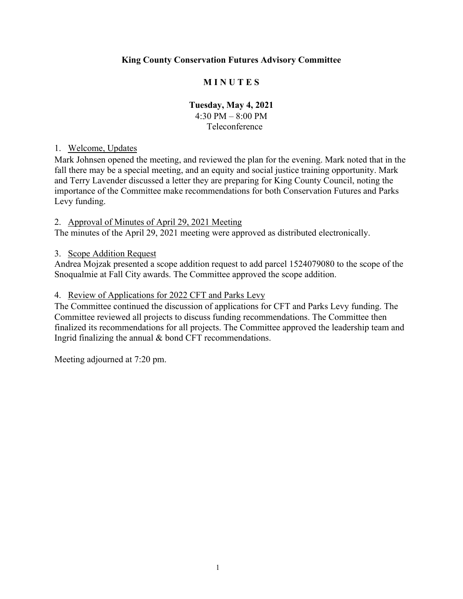## **King County Conservation Futures Advisory Committee**

### **M I N U T E S**

# **Tuesday, May 4, 2021** 4:30 PM – 8:00 PM

Teleconference

#### 1. Welcome, Updates

Mark Johnsen opened the meeting, and reviewed the plan for the evening. Mark noted that in the fall there may be a special meeting, and an equity and social justice training opportunity. Mark and Terry Lavender discussed a letter they are preparing for King County Council, noting the importance of the Committee make recommendations for both Conservation Futures and Parks Levy funding.

#### 2. Approval of Minutes of April 29, 2021 Meeting

The minutes of the April 29, 2021 meeting were approved as distributed electronically.

#### 3. Scope Addition Request

Andrea Mojzak presented a scope addition request to add parcel 1524079080 to the scope of the Snoqualmie at Fall City awards. The Committee approved the scope addition.

#### 4. Review of Applications for 2022 CFT and Parks Levy

The Committee continued the discussion of applications for CFT and Parks Levy funding. The Committee reviewed all projects to discuss funding recommendations. The Committee then finalized its recommendations for all projects. The Committee approved the leadership team and Ingrid finalizing the annual & bond CFT recommendations.

Meeting adjourned at 7:20 pm.